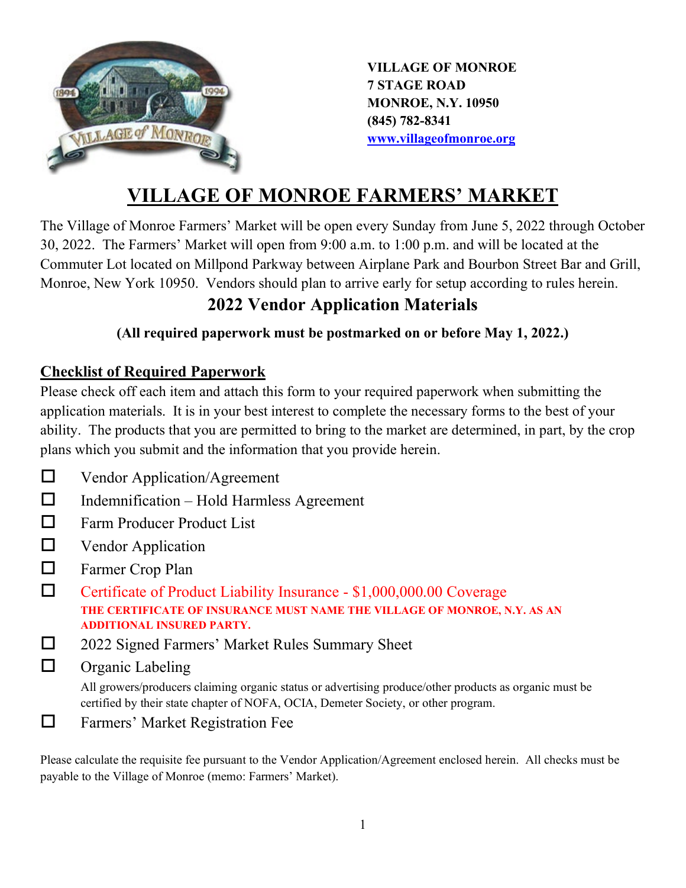

**VILLAGE OF MONROE 7 STAGE ROAD MONROE, N.Y. 10950 (845) 782-8341 [www.villageofmonroe.org](http://www.villageofmonroe.org/)**

# **VILLAGE OF MONROE FARMERS' MARKET**

The Village of Monroe Farmers' Market will be open every Sunday from June 5, 2022 through October 30, 2022. The Farmers' Market will open from 9:00 a.m. to 1:00 p.m. and will be located at the Commuter Lot located on Millpond Parkway between Airplane Park and Bourbon Street Bar and Grill, Monroe, New York 10950. Vendors should plan to arrive early for setup according to rules herein.

## **2022 Vendor Application Materials**

## **(All required paperwork must be postmarked on or before May 1, 2022.)**

## **Checklist of Required Paperwork**

Please check off each item and attach this form to your required paperwork when submitting the application materials. It is in your best interest to complete the necessary forms to the best of your ability. The products that you are permitted to bring to the market are determined, in part, by the crop plans which you submit and the information that you provide herein.

- D Vendor Application/Agreement
- $\Box$  Indemnification Hold Harmless Agreement
- □ Farm Producer Product List
- **Nendor Application**
- □ Farmer Crop Plan
- Certificate of Product Liability Insurance \$1,000,000.00 Coverage **THE CERTIFICATE OF INSURANCE MUST NAME THE VILLAGE OF MONROE, N.Y. AS AN ADDITIONAL INSURED PARTY.**
- □ 2022 Signed Farmers' Market Rules Summary Sheet
- $\Box$  Organic Labeling

All growers/producers claiming organic status or advertising produce/other products as organic must be certified by their state chapter of NOFA, OCIA, Demeter Society, or other program.

Farmers' Market Registration Fee

Please calculate the requisite fee pursuant to the Vendor Application/Agreement enclosed herein. All checks must be payable to the Village of Monroe (memo: Farmers' Market).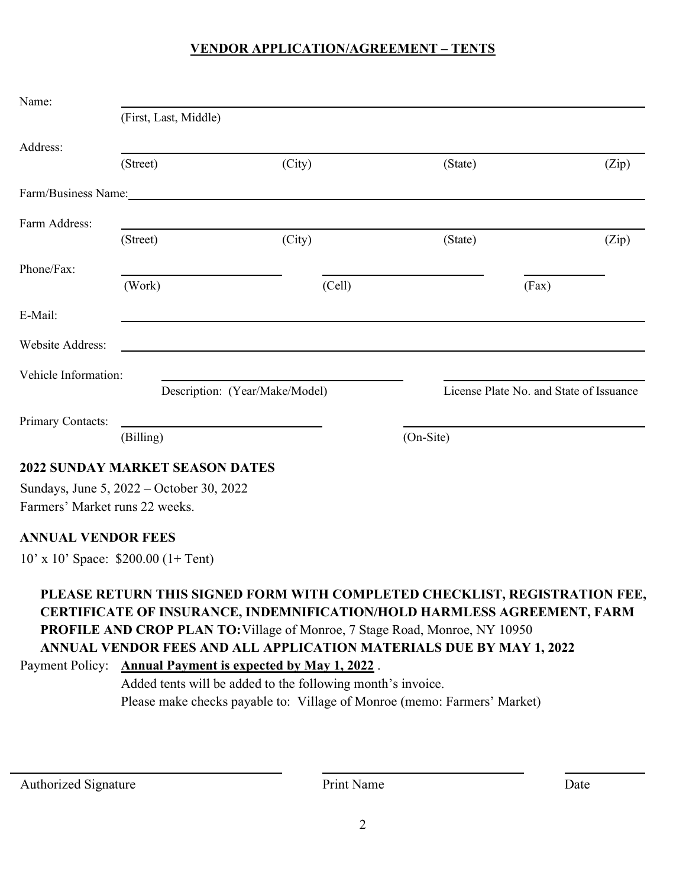## **VENDOR APPLICATION/AGREEMENT – TENTS**

| Name:                                  |                                |        |                                         |       |  |
|----------------------------------------|--------------------------------|--------|-----------------------------------------|-------|--|
|                                        | (First, Last, Middle)          |        |                                         |       |  |
| Address:                               |                                |        |                                         |       |  |
|                                        | (Street)                       | (City) | (State)                                 | (Zip) |  |
|                                        | Farm/Business Name:            |        |                                         |       |  |
| Farm Address:                          |                                |        |                                         |       |  |
|                                        | (Street)                       | (City) | (State)                                 | (Zip) |  |
| Phone/Fax:                             |                                |        |                                         |       |  |
|                                        | (Work)                         | (Cell) |                                         | (Fax) |  |
| E-Mail:                                |                                |        |                                         |       |  |
| Website Address:                       |                                |        |                                         |       |  |
| Vehicle Information:                   |                                |        |                                         |       |  |
|                                        | Description: (Year/Make/Model) |        | License Plate No. and State of Issuance |       |  |
| Primary Contacts:                      |                                |        |                                         |       |  |
|                                        | (Billing)                      |        | (On-Site)                               |       |  |
| <b>2022 SUNDAY MARKET SEASON DATES</b> |                                |        |                                         |       |  |

Sundays, June 5, 2022 – October 30, 2022 Farmers' Market runs 22 weeks.

### **ANNUAL VENDOR FEES**

10' x 10' Space: \$200.00 (1+ Tent)

## **PLEASE RETURN THIS SIGNED FORM WITH COMPLETED CHECKLIST, REGISTRATION FEE, CERTIFICATE OF INSURANCE, INDEMNIFICATION/HOLD HARMLESS AGREEMENT, FARM PROFILE AND CROP PLAN TO:**Village of Monroe, 7 Stage Road, Monroe, NY 10950 **ANNUAL VENDOR FEES AND ALL APPLICATION MATERIALS DUE BY MAY 1, 2022** Payment Policy: **Annual Payment is expected by May 1, 2022** .

Added tents will be added to the following month's invoice. Please make checks payable to: Village of Monroe (memo: Farmers' Market)

Authorized Signature Date Print Name Date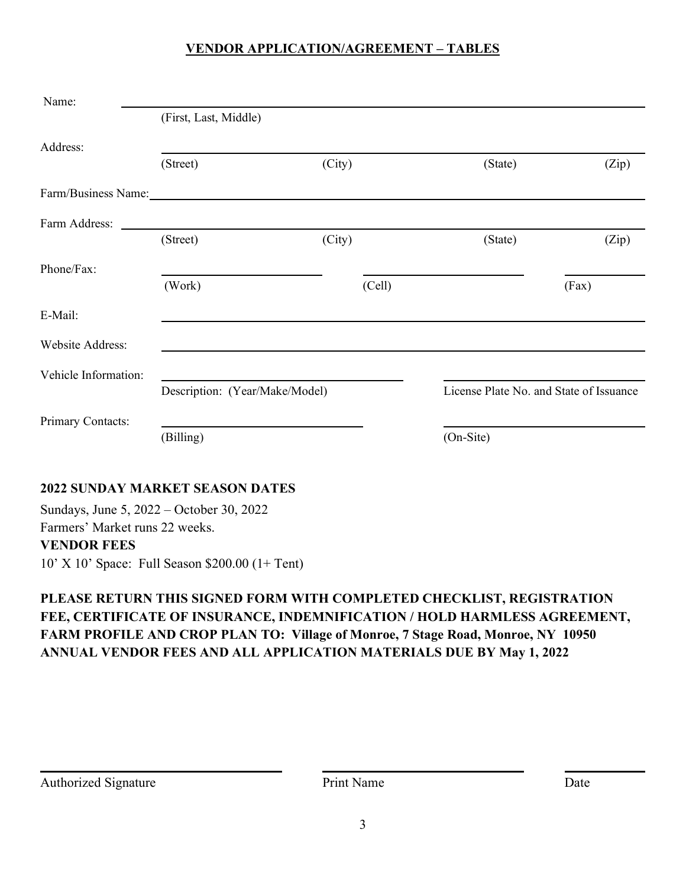## **VENDOR APPLICATION/AGREEMENT – TABLES**

| Name:                   |                                |        |                                         |       |  |  |
|-------------------------|--------------------------------|--------|-----------------------------------------|-------|--|--|
|                         | (First, Last, Middle)          |        |                                         |       |  |  |
| Address:                |                                |        |                                         |       |  |  |
|                         | (Street)                       | (City) | (State)                                 | (Zip) |  |  |
| Farm/Business Name:     |                                |        |                                         |       |  |  |
|                         |                                |        |                                         |       |  |  |
|                         | (Street)                       | (City) | (State)                                 | (Zip) |  |  |
| Phone/Fax:              |                                |        |                                         |       |  |  |
|                         | (Work)                         | (Cell) |                                         | (Fax) |  |  |
| E-Mail:                 |                                |        |                                         |       |  |  |
| <b>Website Address:</b> |                                |        |                                         |       |  |  |
| Vehicle Information:    |                                |        |                                         |       |  |  |
|                         | Description: (Year/Make/Model) |        | License Plate No. and State of Issuance |       |  |  |
| Primary Contacts:       |                                |        |                                         |       |  |  |
|                         | (Billing)                      |        | (On-Site)                               |       |  |  |

## **2022 SUNDAY MARKET SEASON DATES**

Sundays, June 5, 2022 – October 30, 2022 Farmers' Market runs 22 weeks. **VENDOR FEES** 10' X 10' Space: Full Season \$200.00 (1+ Tent)

## **PLEASE RETURN THIS SIGNED FORM WITH COMPLETED CHECKLIST, REGISTRATION FEE, CERTIFICATE OF INSURANCE, INDEMNIFICATION / HOLD HARMLESS AGREEMENT, FARM PROFILE AND CROP PLAN TO: Village of Monroe, 7 Stage Road, Monroe, NY 10950 ANNUAL VENDOR FEES AND ALL APPLICATION MATERIALS DUE BY May 1, 2022**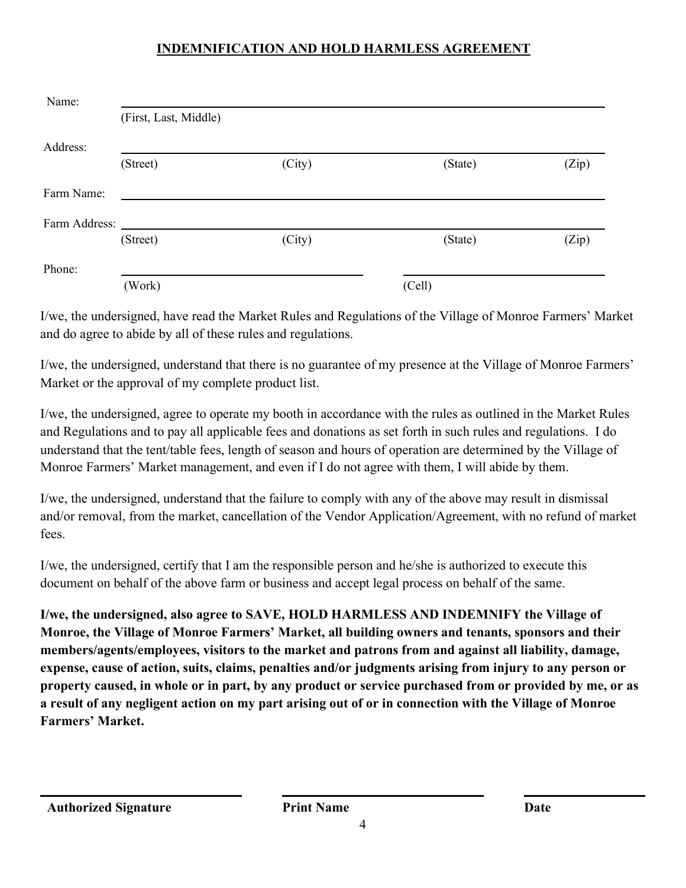## **INDEMNIFICATION AND HOLD HARMLESS AGREEMENT**

| Name:         |                       |        |         |       |
|---------------|-----------------------|--------|---------|-------|
|               | (First, Last, Middle) |        |         |       |
| Address:      |                       |        |         |       |
|               | (Street)              | (City) | (State) | (Zip) |
| Farm Name:    |                       |        |         |       |
| Farm Address: |                       |        |         |       |
|               | (Street)              | (City) | (State) | (Zip) |
| Phone:        |                       |        |         |       |
|               | (Work)                |        | (Cell)  |       |

I/we, the undersigned, have read the Market Rules and Regulations of the Village of Monroe Farmers' Market and do agree to abide by all of these rules and regulations.

I/we, the undersigned, understand that there is no guarantee of my presence at the Village of Monroe Farmers' Market or the approval of my complete product list.

I/we, the undersigned, agree to operate my booth in accordance with the rules as outlined in the Market Rules and Regulations and to pay all applicable fees and donations as set forth in such rules and regulations. I do understand that the tent/table fees, length of season and hours of operation are determined by the Village of Monroe Farmers' Market management, and even if I do not agree with them, I will abide by them.

I/we, the undersigned, understand that the failure to comply with any of the above may result in dismissal and/or removal, from the market, cancellation of the Vendor Application/Agreement, with no refund of market fees.

I/we, the undersigned, certify that I am the responsible person and he/she is authorized to execute this document on behalf of the above farm or business and accept legal process on behalf of the same.

**I/we, the undersigned, also agree to SAVE, HOLD HARMLESS AND INDEMNIFY the Village of Monroe, the Village of Monroe Farmers' Market, all building owners and tenants, sponsors and their members/agents/employees, visitors to the market and patrons from and against all liability, damage, expense, cause of action, suits, claims, penalties and/or judgments arising from injury to any person or property caused, in whole or in part, by any product or service purchased from or provided by me, or as a result of any negligent action on my part arising out of or in connection with the Village of Monroe Farmers' Market.**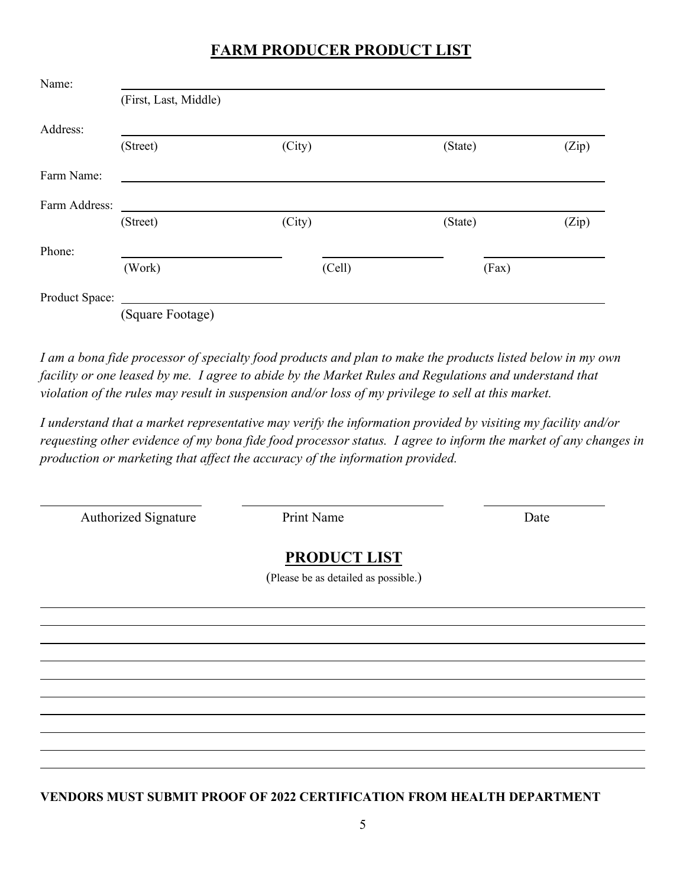## **FARM PRODUCER PRODUCT LIST**

| Name:          |                       |        |         |       |
|----------------|-----------------------|--------|---------|-------|
|                | (First, Last, Middle) |        |         |       |
| Address:       |                       |        |         |       |
|                | (Street)              | (City) | (State) | (Zip) |
| Farm Name:     |                       |        |         |       |
| Farm Address:  |                       |        |         |       |
|                | (Street)              | (City) | (State) | (Zip) |
| Phone:         |                       |        |         |       |
|                | (Work)                | (Cell) | (Fax)   |       |
| Product Space: |                       |        |         |       |
|                | (Square Footage)      |        |         |       |

*I am a bona fide processor of specialty food products and plan to make the products listed below in my own facility or one leased by me. I agree to abide by the Market Rules and Regulations and understand that violation of the rules may result in suspension and/or loss of my privilege to sell at this market.*

*I understand that a market representative may verify the information provided by visiting my facility and/or requesting other evidence of my bona fide food processor status. I agree to inform the market of any changes in production or marketing that affect the accuracy of the information provided.*

Authorized Signature Print Name Date

## **PRODUCT LIST**

(Please be as detailed as possible.)

**VENDORS MUST SUBMIT PROOF OF 2022 CERTIFICATION FROM HEALTH DEPARTMENT**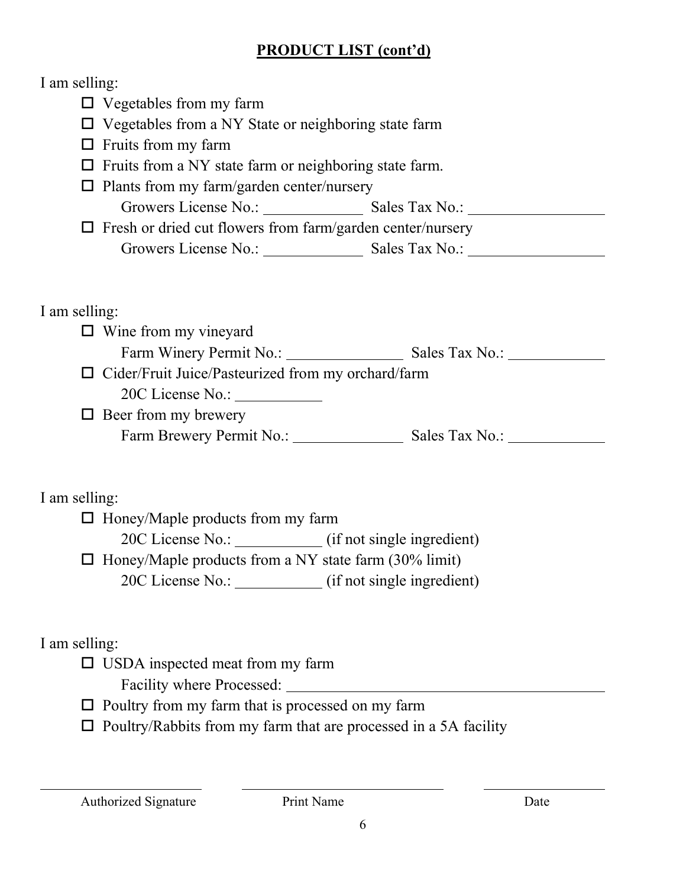## **PRODUCT LIST (cont'd)**

## I am selling:

 $\square$  Vegetables from my farm  $\Box$  Vegetables from a NY State or neighboring state farm  $\Box$  Fruits from my farm  $\Box$  Fruits from a NY state farm or neighboring state farm.  $\square$  Plants from my farm/garden center/nursery Growers License No.: Sales Tax No.:  $\Box$  Fresh or dried cut flowers from farm/garden center/nursery Growers License No.: Sales Tax No.: I am selling:  $\Box$  Wine from my vineyard

Farm Winery Permit No.: Sales Tax No.:  $\Box$  Cider/Fruit Juice/Pasteurized from my orchard/farm

20C License No.:

 $\Box$  Beer from my brewery

Farm Brewery Permit No.: Sales Tax No.:

## I am selling:

 $\Box$  Honey/Maple products from my farm

20C License No.: (if not single ingredient)

 $\Box$  Honey/Maple products from a NY state farm (30% limit)

20C License No.: \_\_\_\_\_\_\_\_\_\_\_ (if not single ingredient)

I am selling:

□ USDA inspected meat from my farm

Facility where Processed:

 $\square$  Poultry from my farm that is processed on my farm

 $\square$  Poultry/Rabbits from my farm that are processed in a 5A facility

Authorized Signature Print Name Date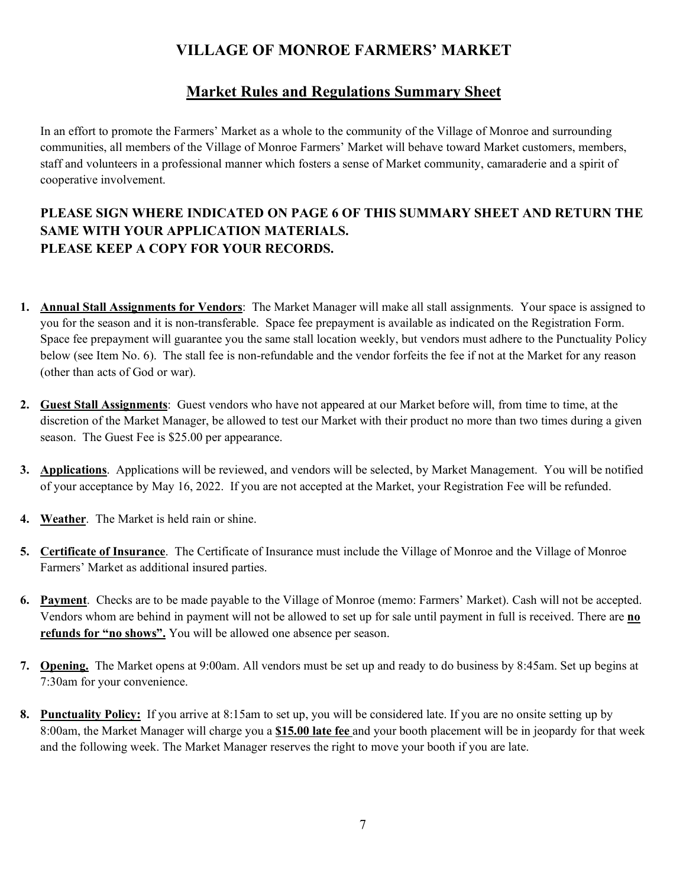## **VILLAGE OF MONROE FARMERS' MARKET**

## **Market Rules and Regulations Summary Sheet**

In an effort to promote the Farmers' Market as a whole to the community of the Village of Monroe and surrounding communities, all members of the Village of Monroe Farmers' Market will behave toward Market customers, members, staff and volunteers in a professional manner which fosters a sense of Market community, camaraderie and a spirit of cooperative involvement.

## **PLEASE SIGN WHERE INDICATED ON PAGE 6 OF THIS SUMMARY SHEET AND RETURN THE SAME WITH YOUR APPLICATION MATERIALS. PLEASE KEEP A COPY FOR YOUR RECORDS.**

- **1. Annual Stall Assignments for Vendors**: The Market Manager will make all stall assignments. Your space is assigned to you for the season and it is non-transferable. Space fee prepayment is available as indicated on the Registration Form. Space fee prepayment will guarantee you the same stall location weekly, but vendors must adhere to the Punctuality Policy below (see Item No. 6). The stall fee is non-refundable and the vendor forfeits the fee if not at the Market for any reason (other than acts of God or war).
- **2. Guest Stall Assignments**: Guest vendors who have not appeared at our Market before will, from time to time, at the discretion of the Market Manager, be allowed to test our Market with their product no more than two times during a given season. The Guest Fee is \$25.00 per appearance.
- **3. Applications**. Applications will be reviewed, and vendors will be selected, by Market Management. You will be notified of your acceptance by May 16, 2022. If you are not accepted at the Market, your Registration Fee will be refunded.
- **4. Weather**. The Market is held rain or shine.
- **5. Certificate of Insurance**. The Certificate of Insurance must include the Village of Monroe and the Village of Monroe Farmers' Market as additional insured parties.
- **6. Payment**. Checks are to be made payable to the Village of Monroe (memo: Farmers' Market). Cash will not be accepted. Vendors whom are behind in payment will not be allowed to set up for sale until payment in full is received. There are **no refunds for "no shows".** You will be allowed one absence per season.
- **7. Opening.** The Market opens at 9:00am. All vendors must be set up and ready to do business by 8:45am. Set up begins at 7:30am for your convenience.
- **8. Punctuality Policy:** If you arrive at 8:15am to set up, you will be considered late. If you are no onsite setting up by 8:00am, the Market Manager will charge you a **\$15.00 late fee** and your booth placement will be in jeopardy for that week and the following week. The Market Manager reserves the right to move your booth if you are late.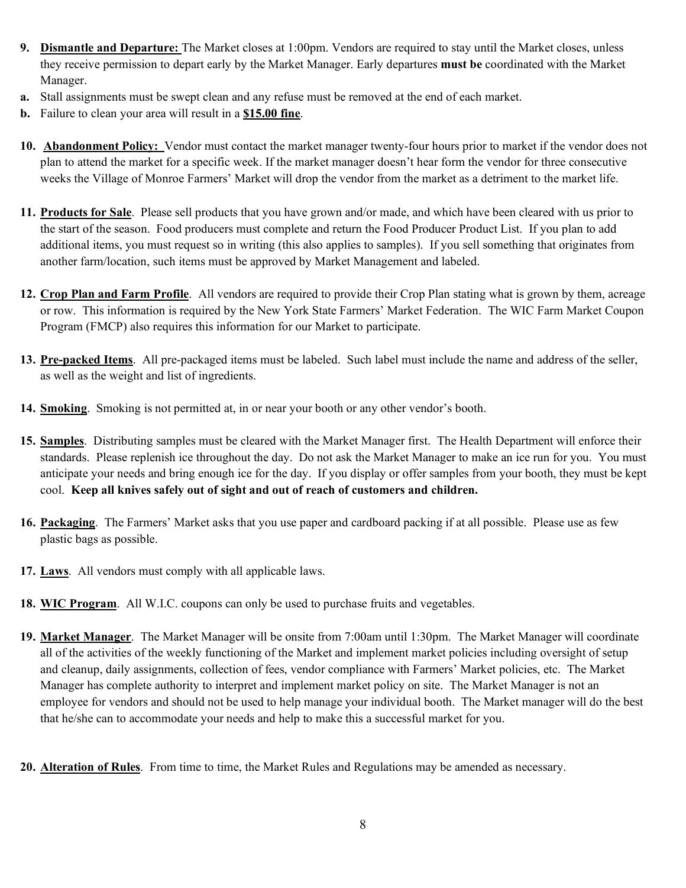- **9. Dismantle and Departure:** The Market closes at 1:00pm. Vendors are required to stay until the Market closes, unless they receive permission to depart early by the Market Manager. Early departures **must be** coordinated with the Market Manager.
- **a.** Stall assignments must be swept clean and any refuse must be removed at the end of each market.
- **b.** Failure to clean your area will result in a **\$15.00 fine**.
- **10. Abandonment Policy:** Vendor must contact the market manager twenty-four hours prior to market if the vendor does not plan to attend the market for a specific week. If the market manager doesn't hear form the vendor for three consecutive weeks the Village of Monroe Farmers' Market will drop the vendor from the market as a detriment to the market life.
- **11. Products for Sale**. Please sell products that you have grown and/or made, and which have been cleared with us prior to the start of the season. Food producers must complete and return the Food Producer Product List. If you plan to add additional items, you must request so in writing (this also applies to samples). If you sell something that originates from another farm/location, such items must be approved by Market Management and labeled.
- **12. Crop Plan and Farm Profile**. All vendors are required to provide their Crop Plan stating what is grown by them, acreage or row. This information is required by the New York State Farmers' Market Federation. The WIC Farm Market Coupon Program (FMCP) also requires this information for our Market to participate.
- **13. Pre-packed Items**. All pre-packaged items must be labeled. Such label must include the name and address of the seller, as well as the weight and list of ingredients.
- **14. Smoking**. Smoking is not permitted at, in or near your booth or any other vendor's booth.
- **15. Samples**. Distributing samples must be cleared with the Market Manager first. The Health Department will enforce their standards. Please replenish ice throughout the day. Do not ask the Market Manager to make an ice run for you. You must anticipate your needs and bring enough ice for the day. If you display or offer samples from your booth, they must be kept cool. **Keep all knives safely out of sight and out of reach of customers and children.**
- **16. Packaging**. The Farmers' Market asks that you use paper and cardboard packing if at all possible. Please use as few plastic bags as possible.
- **17. Laws**. All vendors must comply with all applicable laws.
- **18. WIC Program**. All W.I.C. coupons can only be used to purchase fruits and vegetables.
- **19. Market Manager**. The Market Manager will be onsite from 7:00am until 1:30pm. The Market Manager will coordinate all of the activities of the weekly functioning of the Market and implement market policies including oversight of setup and cleanup, daily assignments, collection of fees, vendor compliance with Farmers' Market policies, etc. The Market Manager has complete authority to interpret and implement market policy on site. The Market Manager is not an employee for vendors and should not be used to help manage your individual booth. The Market manager will do the best that he/she can to accommodate your needs and help to make this a successful market for you.
- **20. Alteration of Rules**. From time to time, the Market Rules and Regulations may be amended as necessary.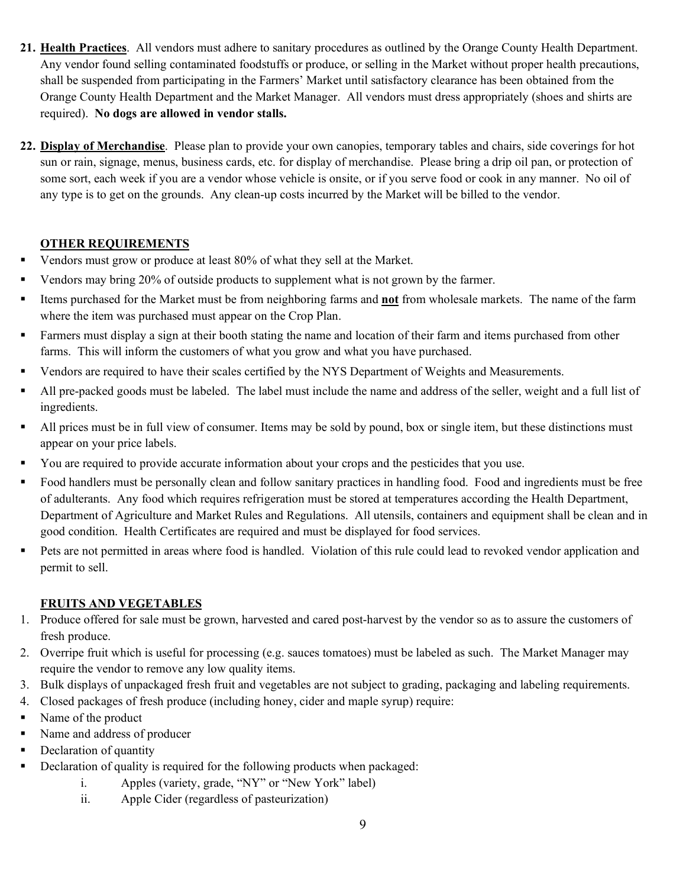- **21. Health Practices**. All vendors must adhere to sanitary procedures as outlined by the Orange County Health Department. Any vendor found selling contaminated foodstuffs or produce, or selling in the Market without proper health precautions, shall be suspended from participating in the Farmers' Market until satisfactory clearance has been obtained from the Orange County Health Department and the Market Manager. All vendors must dress appropriately (shoes and shirts are required). **No dogs are allowed in vendor stalls.**
- **22. Display of Merchandise**. Please plan to provide your own canopies, temporary tables and chairs, side coverings for hot sun or rain, signage, menus, business cards, etc. for display of merchandise. Please bring a drip oil pan, or protection of some sort, each week if you are a vendor whose vehicle is onsite, or if you serve food or cook in any manner. No oil of any type is to get on the grounds. Any clean-up costs incurred by the Market will be billed to the vendor.

#### **OTHER REQUIREMENTS**

- Vendors must grow or produce at least 80% of what they sell at the Market.
- Vendors may bring 20% of outside products to supplement what is not grown by the farmer.
- Items purchased for the Market must be from neighboring farms and **not** from wholesale markets. The name of the farm where the item was purchased must appear on the Crop Plan.
- Farmers must display a sign at their booth stating the name and location of their farm and items purchased from other farms. This will inform the customers of what you grow and what you have purchased.
- Vendors are required to have their scales certified by the NYS Department of Weights and Measurements.
- All pre-packed goods must be labeled. The label must include the name and address of the seller, weight and a full list of ingredients.
- If All prices must be in full view of consumer. Items may be sold by pound, box or single item, but these distinctions must appear on your price labels.
- You are required to provide accurate information about your crops and the pesticides that you use.
- Food handlers must be personally clean and follow sanitary practices in handling food. Food and ingredients must be free of adulterants. Any food which requires refrigeration must be stored at temperatures according the Health Department, Department of Agriculture and Market Rules and Regulations. All utensils, containers and equipment shall be clean and in good condition. Health Certificates are required and must be displayed for food services.
- Pets are not permitted in areas where food is handled. Violation of this rule could lead to revoked vendor application and permit to sell.

### **FRUITS AND VEGETABLES**

- 1. Produce offered for sale must be grown, harvested and cared post-harvest by the vendor so as to assure the customers of fresh produce.
- 2. Overripe fruit which is useful for processing (e.g. sauces tomatoes) must be labeled as such. The Market Manager may require the vendor to remove any low quality items.
- 3. Bulk displays of unpackaged fresh fruit and vegetables are not subject to grading, packaging and labeling requirements.
- 4. Closed packages of fresh produce (including honey, cider and maple syrup) require:
- Name of the product
- Name and address of producer
- Declaration of quantity
- Declaration of quality is required for the following products when packaged:
	- i. Apples (variety, grade, "NY" or "New York" label)
	- ii. Apple Cider (regardless of pasteurization)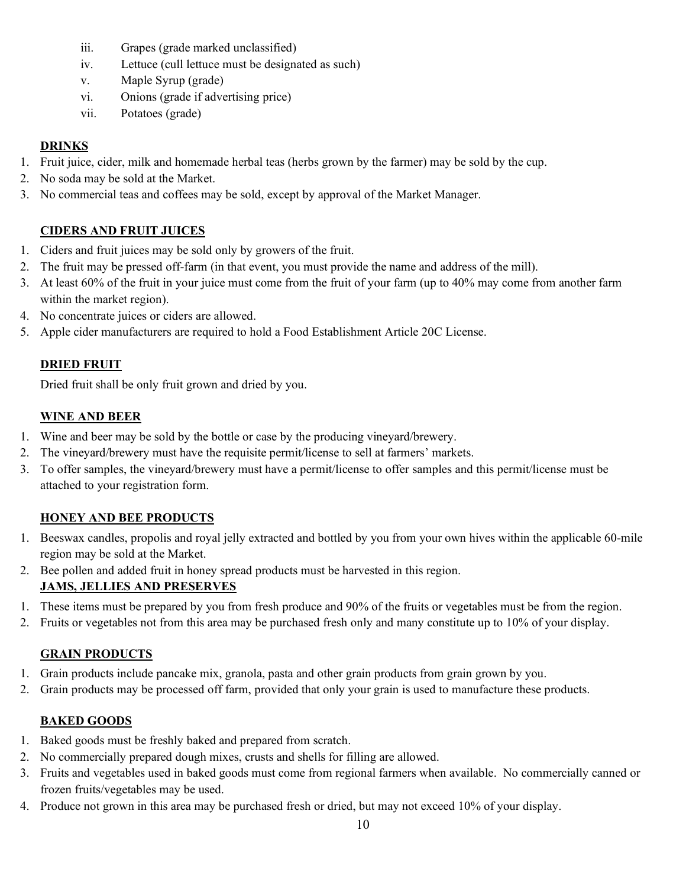- iii. Grapes (grade marked unclassified)
- iv. Lettuce (cull lettuce must be designated as such)
- v. Maple Syrup (grade)
- vi. Onions (grade if advertising price)
- vii. Potatoes (grade)

#### **DRINKS**

- 1. Fruit juice, cider, milk and homemade herbal teas (herbs grown by the farmer) may be sold by the cup.
- 2. No soda may be sold at the Market.
- 3. No commercial teas and coffees may be sold, except by approval of the Market Manager.

### **CIDERS AND FRUIT JUICES**

- 1. Ciders and fruit juices may be sold only by growers of the fruit.
- 2. The fruit may be pressed off-farm (in that event, you must provide the name and address of the mill).
- 3. At least 60% of the fruit in your juice must come from the fruit of your farm (up to 40% may come from another farm within the market region).
- 4. No concentrate juices or ciders are allowed.
- 5. Apple cider manufacturers are required to hold a Food Establishment Article 20C License.

## **DRIED FRUIT**

Dried fruit shall be only fruit grown and dried by you.

#### **WINE AND BEER**

- 1. Wine and beer may be sold by the bottle or case by the producing vineyard/brewery.
- 2. The vineyard/brewery must have the requisite permit/license to sell at farmers' markets.
- 3. To offer samples, the vineyard/brewery must have a permit/license to offer samples and this permit/license must be attached to your registration form.

### **HONEY AND BEE PRODUCTS**

- 1. Beeswax candles, propolis and royal jelly extracted and bottled by you from your own hives within the applicable 60-mile region may be sold at the Market.
- 2. Bee pollen and added fruit in honey spread products must be harvested in this region. **JAMS, JELLIES AND PRESERVES**
- 1. These items must be prepared by you from fresh produce and 90% of the fruits or vegetables must be from the region.
- 2. Fruits or vegetables not from this area may be purchased fresh only and many constitute up to 10% of your display.

### **GRAIN PRODUCTS**

- 1. Grain products include pancake mix, granola, pasta and other grain products from grain grown by you.
- 2. Grain products may be processed off farm, provided that only your grain is used to manufacture these products.

### **BAKED GOODS**

- 1. Baked goods must be freshly baked and prepared from scratch.
- 2. No commercially prepared dough mixes, crusts and shells for filling are allowed.
- 3. Fruits and vegetables used in baked goods must come from regional farmers when available. No commercially canned or frozen fruits/vegetables may be used.
- 4. Produce not grown in this area may be purchased fresh or dried, but may not exceed 10% of your display.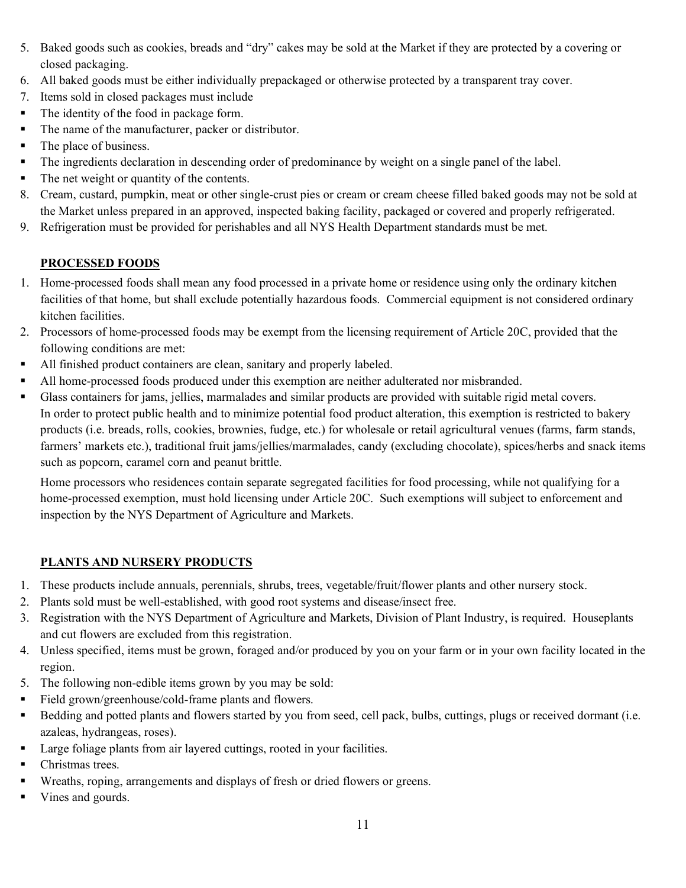- 5. Baked goods such as cookies, breads and "dry" cakes may be sold at the Market if they are protected by a covering or closed packaging.
- 6. All baked goods must be either individually prepackaged or otherwise protected by a transparent tray cover.
- 7. Items sold in closed packages must include
- The identity of the food in package form.
- The name of the manufacturer, packer or distributor.
- The place of business.
- The ingredients declaration in descending order of predominance by weight on a single panel of the label.
- The net weight or quantity of the contents.
- 8. Cream, custard, pumpkin, meat or other single-crust pies or cream or cream cheese filled baked goods may not be sold at the Market unless prepared in an approved, inspected baking facility, packaged or covered and properly refrigerated.
- 9. Refrigeration must be provided for perishables and all NYS Health Department standards must be met.

### **PROCESSED FOODS**

- 1. Home-processed foods shall mean any food processed in a private home or residence using only the ordinary kitchen facilities of that home, but shall exclude potentially hazardous foods. Commercial equipment is not considered ordinary kitchen facilities.
- 2. Processors of home-processed foods may be exempt from the licensing requirement of Article 20C, provided that the following conditions are met:
- All finished product containers are clean, sanitary and properly labeled.
- All home-processed foods produced under this exemption are neither adulterated nor misbranded.
- Glass containers for jams, jellies, marmalades and similar products are provided with suitable rigid metal covers. In order to protect public health and to minimize potential food product alteration, this exemption is restricted to bakery products (i.e. breads, rolls, cookies, brownies, fudge, etc.) for wholesale or retail agricultural venues (farms, farm stands, farmers' markets etc.), traditional fruit jams/jellies/marmalades, candy (excluding chocolate), spices/herbs and snack items such as popcorn, caramel corn and peanut brittle.

Home processors who residences contain separate segregated facilities for food processing, while not qualifying for a home-processed exemption, must hold licensing under Article 20C. Such exemptions will subject to enforcement and inspection by the NYS Department of Agriculture and Markets.

### **PLANTS AND NURSERY PRODUCTS**

- 1. These products include annuals, perennials, shrubs, trees, vegetable/fruit/flower plants and other nursery stock.
- 2. Plants sold must be well-established, with good root systems and disease/insect free.
- 3. Registration with the NYS Department of Agriculture and Markets, Division of Plant Industry, is required. Houseplants and cut flowers are excluded from this registration.
- 4. Unless specified, items must be grown, foraged and/or produced by you on your farm or in your own facility located in the region.
- 5. The following non-edible items grown by you may be sold:
- Field grown/greenhouse/cold-frame plants and flowers.
- Bedding and potted plants and flowers started by you from seed, cell pack, bulbs, cuttings, plugs or received dormant (i.e. azaleas, hydrangeas, roses).
- Large foliage plants from air layered cuttings, rooted in your facilities.
- Christmas trees.
- Wreaths, roping, arrangements and displays of fresh or dried flowers or greens.
- Vines and gourds.